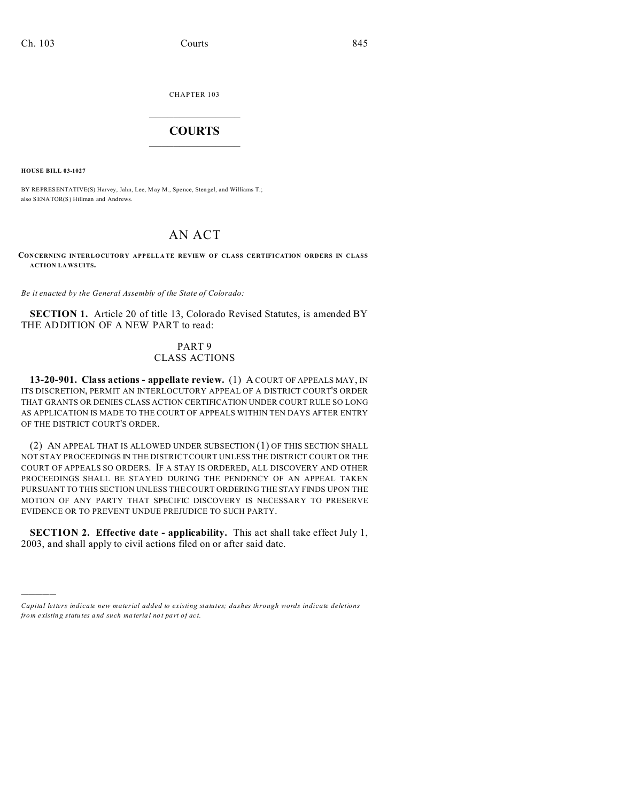CHAPTER 103  $\overline{\phantom{a}}$  , where  $\overline{\phantom{a}}$ 

## **COURTS**  $\_$

**HOUSE BILL 03-1027**

)))))

BY REPRESENTATIVE(S) Harvey, Jahn, Lee, M ay M., Spence, Sten gel, and Williams T.; also SENATOR(S) Hillman and Andrews.

## AN ACT

## **CONCERNING INTERLOCUTORY APPELLATE REVIEW OF CLASS CERTIFICATION ORDERS IN CLASS ACTION LAWSUITS.**

*Be it enacted by the General Assembly of the State of Colorado:*

**SECTION 1.** Article 20 of title 13, Colorado Revised Statutes, is amended BY THE ADDITION OF A NEW PART to read:

## PART 9 CLASS ACTIONS

**13-20-901. Class actions - appellate review.** (1) A COURT OF APPEALS MAY, IN ITS DISCRETION, PERMIT AN INTERLOCUTORY APPEAL OF A DISTRICT COURT'S ORDER THAT GRANTS OR DENIES CLASS ACTION CERTIFICATION UNDER COURT RULE SO LONG AS APPLICATION IS MADE TO THE COURT OF APPEALS WITHIN TEN DAYS AFTER ENTRY OF THE DISTRICT COURT'S ORDER.

(2) AN APPEAL THAT IS ALLOWED UNDER SUBSECTION (1) OF THIS SECTION SHALL NOT STAY PROCEEDINGS IN THE DISTRICT COURT UNLESS THE DISTRICT COURT OR THE COURT OF APPEALS SO ORDERS. IF A STAY IS ORDERED, ALL DISCOVERY AND OTHER PROCEEDINGS SHALL BE STAYED DURING THE PENDENCY OF AN APPEAL TAKEN PURSUANT TO THIS SECTION UNLESS THE COURT ORDERING THE STAY FINDS UPON THE MOTION OF ANY PARTY THAT SPECIFIC DISCOVERY IS NECESSARY TO PRESERVE EVIDENCE OR TO PREVENT UNDUE PREJUDICE TO SUCH PARTY.

**SECTION 2. Effective date - applicability.** This act shall take effect July 1, 2003, and shall apply to civil actions filed on or after said date.

*Capital letters indicate new material added to existing statutes; dashes through words indicate deletions from e xistin g statu tes a nd such ma teria l no t pa rt of ac t.*